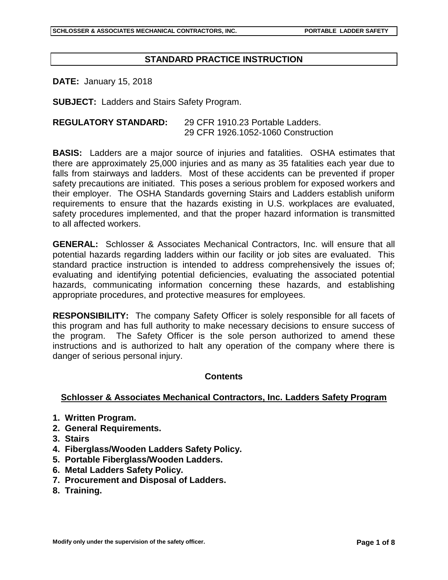## **STANDARD PRACTICE INSTRUCTION**

**DATE:** January 15, 2018

**SUBJECT:** Ladders and Stairs Safety Program.

## **REGULATORY STANDARD:** 29 CFR 1910.23 Portable Ladders. 29 CFR 1926.1052-1060 Construction

**BASIS:** Ladders are a major source of injuries and fatalities. OSHA estimates that there are approximately 25,000 injuries and as many as 35 fatalities each year due to falls from stairways and ladders. Most of these accidents can be prevented if proper safety precautions are initiated. This poses a serious problem for exposed workers and their employer. The OSHA Standards governing Stairs and Ladders establish uniform requirements to ensure that the hazards existing in U.S. workplaces are evaluated, safety procedures implemented, and that the proper hazard information is transmitted to all affected workers.

**GENERAL:** Schlosser & Associates Mechanical Contractors, Inc. will ensure that all potential hazards regarding ladders within our facility or job sites are evaluated. This standard practice instruction is intended to address comprehensively the issues of; evaluating and identifying potential deficiencies, evaluating the associated potential hazards, communicating information concerning these hazards, and establishing appropriate procedures, and protective measures for employees.

**RESPONSIBILITY:** The company Safety Officer is solely responsible for all facets of this program and has full authority to make necessary decisions to ensure success of the program. The Safety Officer is the sole person authorized to amend these instructions and is authorized to halt any operation of the company where there is danger of serious personal injury.

### **Contents**

### **Schlosser & Associates Mechanical Contractors, Inc. Ladders Safety Program**

- **1. Written Program.**
- **2. General Requirements.**
- **3. Stairs**
- **4. Fiberglass/Wooden Ladders Safety Policy.**
- **5. Portable Fiberglass/Wooden Ladders.**
- **6. Metal Ladders Safety Policy.**
- **7. Procurement and Disposal of Ladders.**
- **8. Training.**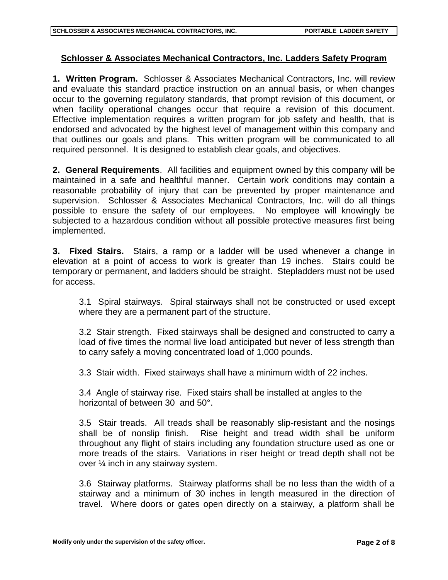# **Schlosser & Associates Mechanical Contractors, Inc. Ladders Safety Program**

**1. Written Program.** Schlosser & Associates Mechanical Contractors, Inc. will review and evaluate this standard practice instruction on an annual basis, or when changes occur to the governing regulatory standards, that prompt revision of this document, or when facility operational changes occur that require a revision of this document. Effective implementation requires a written program for job safety and health, that is endorsed and advocated by the highest level of management within this company and that outlines our goals and plans. This written program will be communicated to all required personnel. It is designed to establish clear goals, and objectives.

**2. General Requirements**. All facilities and equipment owned by this company will be maintained in a safe and healthful manner. Certain work conditions may contain a reasonable probability of injury that can be prevented by proper maintenance and supervision. Schlosser & Associates Mechanical Contractors, Inc. will do all things possible to ensure the safety of our employees. No employee will knowingly be subjected to a hazardous condition without all possible protective measures first being implemented.

**3. Fixed Stairs.** Stairs, a ramp or a ladder will be used whenever a change in elevation at a point of access to work is greater than 19 inches. Stairs could be temporary or permanent, and ladders should be straight. Stepladders must not be used for access.

3.1 Spiral stairways. Spiral stairways shall not be constructed or used except where they are a permanent part of the structure.

3.2 Stair strength. Fixed stairways shall be designed and constructed to carry a load of five times the normal live load anticipated but never of less strength than to carry safely a moving concentrated load of 1,000 pounds.

3.3 Stair width. Fixed stairways shall have a minimum width of 22 inches.

3.4 Angle of stairway rise. Fixed stairs shall be installed at angles to the horizontal of between 30 and 50°.

3.5 Stair treads. All treads shall be reasonably slip-resistant and the nosings shall be of nonslip finish. Rise height and tread width shall be uniform throughout any flight of stairs including any foundation structure used as one or more treads of the stairs. Variations in riser height or tread depth shall not be over ¼ inch in any stairway system.

3.6 Stairway platforms. Stairway platforms shall be no less than the width of a stairway and a minimum of 30 inches in length measured in the direction of travel. Where doors or gates open directly on a stairway, a platform shall be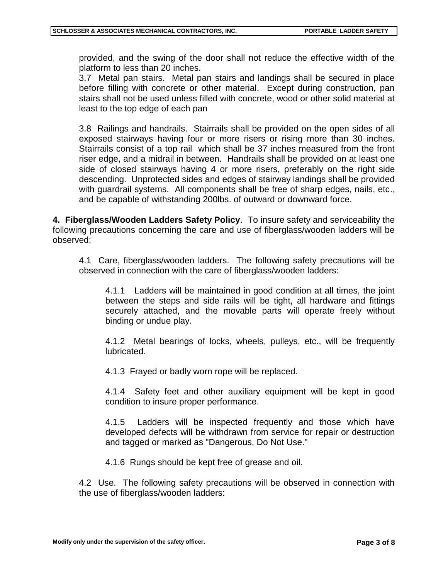provided, and the swing of the door shall not reduce the effective width of the platform to less than 20 inches.

3.7 Metal pan stairs. Metal pan stairs and landings shall be secured in place before filling with concrete or other material. Except during construction, pan stairs shall not be used unless filled with concrete, wood or other solid material at least to the top edge of each pan

3.8 Railings and handrails. Stairrails shall be provided on the open sides of all exposed stairways having four or more risers or rising more than 30 inches. Stairrails consist of a top rail which shall be 37 inches measured from the front riser edge, and a midrail in between. Handrails shall be provided on at least one side of closed stairways having 4 or more risers, preferably on the right side descending. Unprotected sides and edges of stairway landings shall be provided with guardrail systems. All components shall be free of sharp edges, nails, etc., and be capable of withstanding 200lbs. of outward or downward force.

**4. Fiberglass/Wooden Ladders Safety Policy**. To insure safety and serviceability the following precautions concerning the care and use of fiberglass/wooden ladders will be observed:

4.1 Care, fiberglass/wooden ladders. The following safety precautions will be observed in connection with the care of fiberglass/wooden ladders:

4.1.1 Ladders will be maintained in good condition at all times, the joint between the steps and side rails will be tight, all hardware and fittings securely attached, and the movable parts will operate freely without binding or undue play.

4.1.2 Metal bearings of locks, wheels, pulleys, etc., will be frequently lubricated.

4.1.3 Frayed or badly worn rope will be replaced.

4.1.4 Safety feet and other auxiliary equipment will be kept in good condition to insure proper performance.

4.1.5 Ladders will be inspected frequently and those which have developed defects will be withdrawn from service for repair or destruction and tagged or marked as "Dangerous, Do Not Use."

4.1.6 Rungs should be kept free of grease and oil.

4.2 Use. The following safety precautions will be observed in connection with the use of fiberglass/wooden ladders: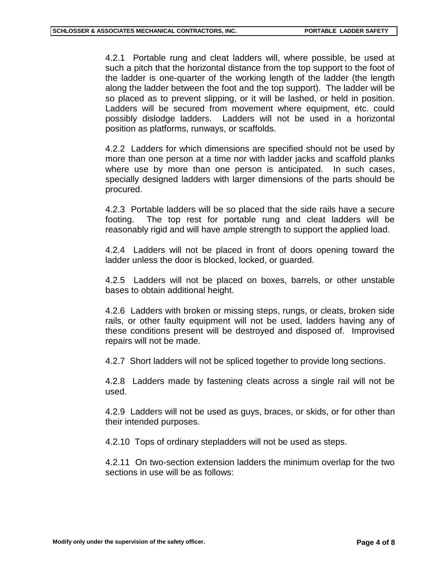4.2.1 Portable rung and cleat ladders will, where possible, be used at such a pitch that the horizontal distance from the top support to the foot of the ladder is one-quarter of the working length of the ladder (the length along the ladder between the foot and the top support). The ladder will be so placed as to prevent slipping, or it will be lashed, or held in position. Ladders will be secured from movement where equipment, etc. could possibly dislodge ladders. Ladders will not be used in a horizontal position as platforms, runways, or scaffolds.

4.2.2 Ladders for which dimensions are specified should not be used by more than one person at a time nor with ladder jacks and scaffold planks where use by more than one person is anticipated. In such cases, specially designed ladders with larger dimensions of the parts should be procured.

4.2.3 Portable ladders will be so placed that the side rails have a secure footing. The top rest for portable rung and cleat ladders will be reasonably rigid and will have ample strength to support the applied load.

4.2.4 Ladders will not be placed in front of doors opening toward the ladder unless the door is blocked, locked, or guarded.

4.2.5 Ladders will not be placed on boxes, barrels, or other unstable bases to obtain additional height.

4.2.6 Ladders with broken or missing steps, rungs, or cleats, broken side rails, or other faulty equipment will not be used, ladders having any of these conditions present will be destroyed and disposed of. Improvised repairs will not be made.

4.2.7 Short ladders will not be spliced together to provide long sections.

4.2.8 Ladders made by fastening cleats across a single rail will not be used.

4.2.9 Ladders will not be used as guys, braces, or skids, or for other than their intended purposes.

4.2.10 Tops of ordinary stepladders will not be used as steps.

4.2.11 On two-section extension ladders the minimum overlap for the two sections in use will be as follows: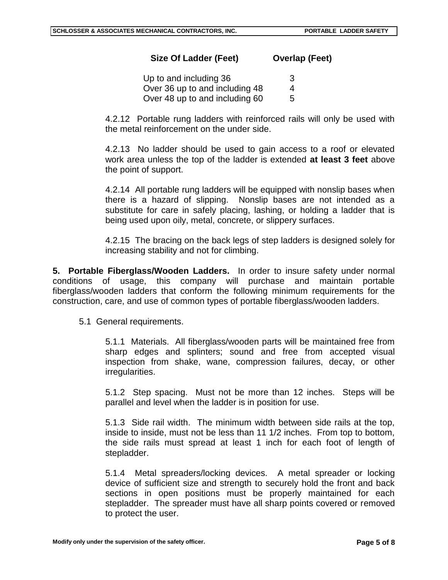### **Size Of Ladder (Feet) Overlap (Feet)**

| Up to and including 36         | 3 |
|--------------------------------|---|
| Over 36 up to and including 48 | 4 |
| Over 48 up to and including 60 | 5 |

4.2.12 Portable rung ladders with reinforced rails will only be used with the metal reinforcement on the under side.

4.2.13 No ladder should be used to gain access to a roof or elevated work area unless the top of the ladder is extended **at least 3 feet** above the point of support.

4.2.14 All portable rung ladders will be equipped with nonslip bases when there is a hazard of slipping. Nonslip bases are not intended as a substitute for care in safely placing, lashing, or holding a ladder that is being used upon oily, metal, concrete, or slippery surfaces.

4.2.15 The bracing on the back legs of step ladders is designed solely for increasing stability and not for climbing.

**5. Portable Fiberglass/Wooden Ladders.** In order to insure safety under normal conditions of usage, this company will purchase and maintain portable fiberglass/wooden ladders that conform the following minimum requirements for the construction, care, and use of common types of portable fiberglass/wooden ladders.

5.1 General requirements.

5.1.1 Materials. All fiberglass/wooden parts will be maintained free from sharp edges and splinters; sound and free from accepted visual inspection from shake, wane, compression failures, decay, or other irregularities.

5.1.2 Step spacing. Must not be more than 12 inches. Steps will be parallel and level when the ladder is in position for use.

5.1.3 Side rail width. The minimum width between side rails at the top, inside to inside, must not be less than 11 1/2 inches. From top to bottom, the side rails must spread at least 1 inch for each foot of length of stepladder.

5.1.4 Metal spreaders/locking devices. A metal spreader or locking device of sufficient size and strength to securely hold the front and back sections in open positions must be properly maintained for each stepladder. The spreader must have all sharp points covered or removed to protect the user.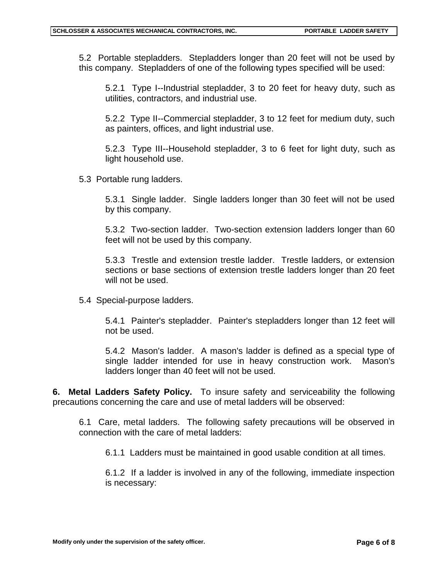5.2 Portable stepladders. Stepladders longer than 20 feet will not be used by this company. Stepladders of one of the following types specified will be used:

5.2.1 Type I--Industrial stepladder, 3 to 20 feet for heavy duty, such as utilities, contractors, and industrial use.

5.2.2 Type II--Commercial stepladder, 3 to 12 feet for medium duty, such as painters, offices, and light industrial use.

5.2.3 Type III--Household stepladder, 3 to 6 feet for light duty, such as light household use.

5.3 Portable rung ladders.

5.3.1 Single ladder. Single ladders longer than 30 feet will not be used by this company.

5.3.2 Two-section ladder. Two-section extension ladders longer than 60 feet will not be used by this company.

5.3.3 Trestle and extension trestle ladder. Trestle ladders, or extension sections or base sections of extension trestle ladders longer than 20 feet will not be used.

5.4 Special-purpose ladders.

5.4.1 Painter's stepladder. Painter's stepladders longer than 12 feet will not be used.

5.4.2 Mason's ladder. A mason's ladder is defined as a special type of single ladder intended for use in heavy construction work. Mason's ladders longer than 40 feet will not be used.

**6. Metal Ladders Safety Policy.** To insure safety and serviceability the following precautions concerning the care and use of metal ladders will be observed:

6.1 Care, metal ladders. The following safety precautions will be observed in connection with the care of metal ladders:

6.1.1 Ladders must be maintained in good usable condition at all times.

6.1.2 If a ladder is involved in any of the following, immediate inspection is necessary: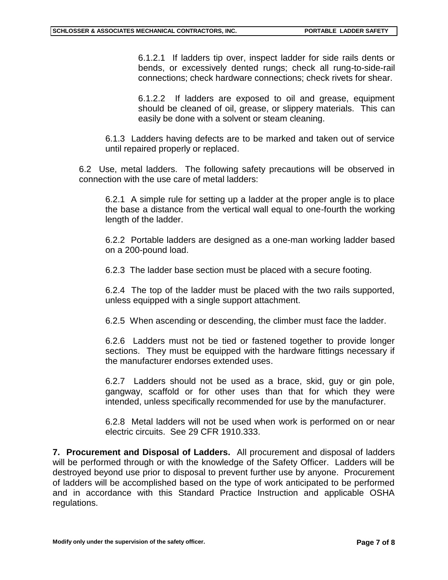6.1.2.1 If ladders tip over, inspect ladder for side rails dents or bends, or excessively dented rungs; check all rung-to-side-rail connections; check hardware connections; check rivets for shear.

6.1.2.2 If ladders are exposed to oil and grease, equipment should be cleaned of oil, grease, or slippery materials. This can easily be done with a solvent or steam cleaning.

6.1.3 Ladders having defects are to be marked and taken out of service until repaired properly or replaced.

6.2 Use, metal ladders. The following safety precautions will be observed in connection with the use care of metal ladders:

6.2.1 A simple rule for setting up a ladder at the proper angle is to place the base a distance from the vertical wall equal to one-fourth the working length of the ladder.

6.2.2 Portable ladders are designed as a one-man working ladder based on a 200-pound load.

6.2.3 The ladder base section must be placed with a secure footing.

6.2.4 The top of the ladder must be placed with the two rails supported, unless equipped with a single support attachment.

6.2.5 When ascending or descending, the climber must face the ladder.

6.2.6 Ladders must not be tied or fastened together to provide longer sections. They must be equipped with the hardware fittings necessary if the manufacturer endorses extended uses.

6.2.7 Ladders should not be used as a brace, skid, guy or gin pole, gangway, scaffold or for other uses than that for which they were intended, unless specifically recommended for use by the manufacturer.

6.2.8 Metal ladders will not be used when work is performed on or near electric circuits. See 29 CFR 1910.333.

**7. Procurement and Disposal of Ladders.** All procurement and disposal of ladders will be performed through or with the knowledge of the Safety Officer. Ladders will be destroyed beyond use prior to disposal to prevent further use by anyone. Procurement of ladders will be accomplished based on the type of work anticipated to be performed and in accordance with this Standard Practice Instruction and applicable OSHA regulations.